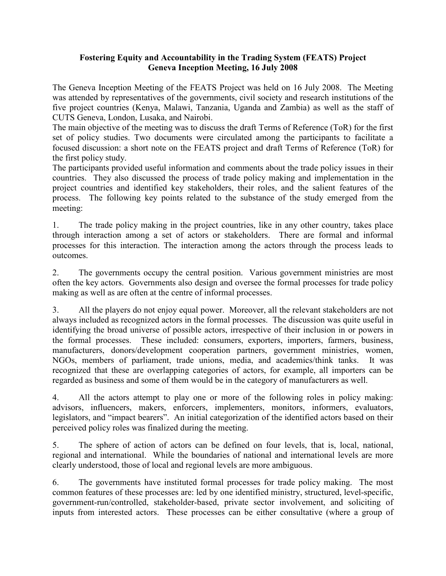## Fostering Equity and Accountability in the Trading System (FEATS) Project Geneva Inception Meeting, 16 July 2008

The Geneva Inception Meeting of the FEATS Project was held on 16 July 2008. The Meeting was attended by representatives of the governments, civil society and research institutions of the five project countries (Kenya, Malawi, Tanzania, Uganda and Zambia) as well as the staff of CUTS Geneva, London, Lusaka, and Nairobi.

The main objective of the meeting was to discuss the draft Terms of Reference (ToR) for the first set of policy studies. Two documents were circulated among the participants to facilitate a focused discussion: a short note on the FEATS project and draft Terms of Reference (ToR) for the first policy study.

The participants provided useful information and comments about the trade policy issues in their countries. They also discussed the process of trade policy making and implementation in the project countries and identified key stakeholders, their roles, and the salient features of the process. The following key points related to the substance of the study emerged from the meeting:

1. The trade policy making in the project countries, like in any other country, takes place through interaction among a set of actors or stakeholders. There are formal and informal processes for this interaction. The interaction among the actors through the process leads to outcomes.

2. The governments occupy the central position. Various government ministries are most often the key actors. Governments also design and oversee the formal processes for trade policy making as well as are often at the centre of informal processes.

3. All the players do not enjoy equal power. Moreover, all the relevant stakeholders are not always included as recognized actors in the formal processes. The discussion was quite useful in identifying the broad universe of possible actors, irrespective of their inclusion in or powers in the formal processes. These included: consumers, exporters, importers, farmers, business, manufacturers, donors/development cooperation partners, government ministries, women, NGOs, members of parliament, trade unions, media, and academics/think tanks. It was recognized that these are overlapping categories of actors, for example, all importers can be regarded as business and some of them would be in the category of manufacturers as well.

4. All the actors attempt to play one or more of the following roles in policy making: advisors, influencers, makers, enforcers, implementers, monitors, informers, evaluators, legislators, and "impact bearers". An initial categorization of the identified actors based on their perceived policy roles was finalized during the meeting.

5. The sphere of action of actors can be defined on four levels, that is, local, national, regional and international. While the boundaries of national and international levels are more clearly understood, those of local and regional levels are more ambiguous.

6. The governments have instituted formal processes for trade policy making. The most common features of these processes are: led by one identified ministry, structured, level-specific, government-run/controlled, stakeholder-based, private sector involvement, and soliciting of inputs from interested actors. These processes can be either consultative (where a group of